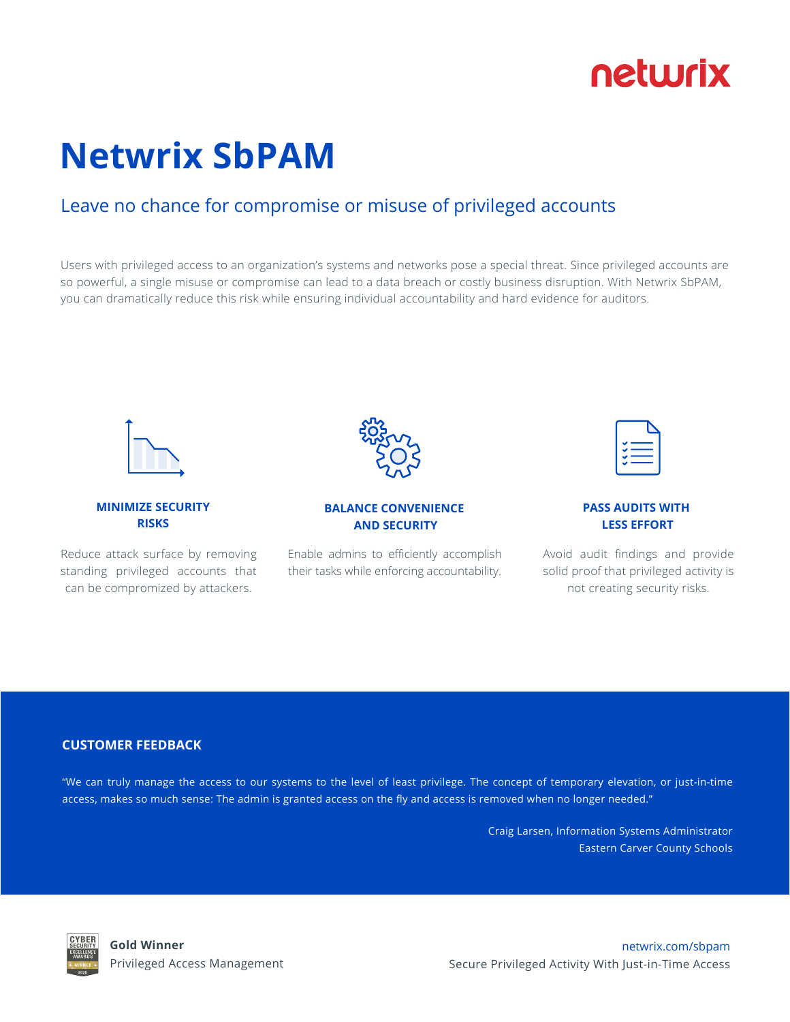## netwrix

# **Netwrix SbPAM**

### Leave no chance for compromise or misuse of privileged accounts

Users with privileged access to an organization's systems and networks pose a special threat. Since privileged accounts are so powerful, a single misuse or compromise can lead to a data breach or costly business disruption. With Netwrix SbPAM, you can dramatically reduce this risk while ensuring individual accountability and hard evidence for auditors.



**MINIMIZE SECURITY RISKS**

Reduce attack surface by removing standing privileged accounts that can be compromized by attackers.



#### **BALANCE CONVENIENCE AND SECURITY**

Enable admins to efficiently accomplish their tasks while enforcing accountability.

#### **PASS AUDITS WITH LESS EFFORT**

Avoid audit findings and provide solid proof that privileged activity is not creating security risks.

#### **CUSTOMER FEEDBACK**

"We can truly manage the access to our systems to the level of least privilege. The concept of temporary elevation, or just-in-time access, makes so much sense: The admin is granted access on the fly and access is removed when no longer needed."

> Craig Larsen, Information Systems Administrator Eastern Carver County Schools